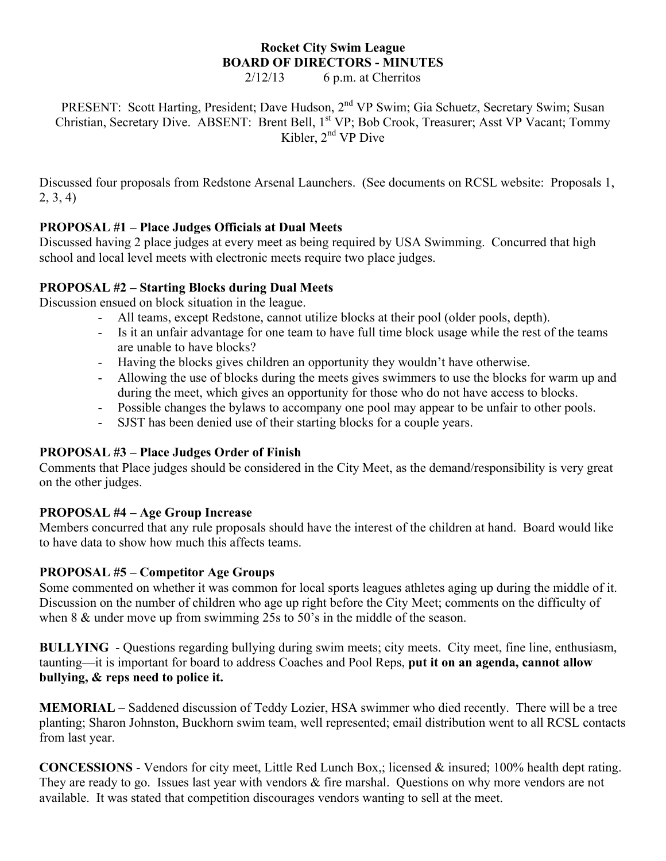# **Rocket City Swim League BOARD OF DIRECTORS - MINUTES**

 $2/12/13$  6 p.m. at Cherritos

PRESENT: Scott Harting, President; Dave Hudson, 2<sup>nd</sup> VP Swim; Gia Schuetz, Secretary Swim; Susan Christian, Secretary Dive. ABSENT: Brent Bell, 1<sup>st</sup> VP; Bob Crook, Treasurer; Asst VP Vacant; Tommy Kibler,  $2<sup>nd</sup>$  VP Dive

Discussed four proposals from Redstone Arsenal Launchers. (See documents on RCSL website: Proposals 1, 2, 3, 4)

## **PROPOSAL #1 – Place Judges Officials at Dual Meets**

Discussed having 2 place judges at every meet as being required by USA Swimming. Concurred that high school and local level meets with electronic meets require two place judges.

#### **PROPOSAL #2 – Starting Blocks during Dual Meets**

Discussion ensued on block situation in the league.

- All teams, except Redstone, cannot utilize blocks at their pool (older pools, depth).
- Is it an unfair advantage for one team to have full time block usage while the rest of the teams are unable to have blocks?
- Having the blocks gives children an opportunity they wouldn't have otherwise.
- Allowing the use of blocks during the meets gives swimmers to use the blocks for warm up and during the meet, which gives an opportunity for those who do not have access to blocks.
- Possible changes the bylaws to accompany one pool may appear to be unfair to other pools.
- SJST has been denied use of their starting blocks for a couple years.

### **PROPOSAL #3 – Place Judges Order of Finish**

Comments that Place judges should be considered in the City Meet, as the demand/responsibility is very great on the other judges.

### **PROPOSAL #4 – Age Group Increase**

Members concurred that any rule proposals should have the interest of the children at hand. Board would like to have data to show how much this affects teams.

### **PROPOSAL #5 – Competitor Age Groups**

Some commented on whether it was common for local sports leagues athletes aging up during the middle of it. Discussion on the number of children who age up right before the City Meet; comments on the difficulty of when 8  $&$  under move up from swimming 25s to 50's in the middle of the season.

**BULLYING** - Questions regarding bullying during swim meets; city meets. City meet, fine line, enthusiasm, taunting—it is important for board to address Coaches and Pool Reps, **put it on an agenda, cannot allow bullying, & reps need to police it.**

**MEMORIAL** – Saddened discussion of Teddy Lozier, HSA swimmer who died recently. There will be a tree planting; Sharon Johnston, Buckhorn swim team, well represented; email distribution went to all RCSL contacts from last year.

**CONCESSIONS** - Vendors for city meet, Little Red Lunch Box,; licensed & insured; 100% health dept rating. They are ready to go. Issues last year with vendors & fire marshal. Questions on why more vendors are not available. It was stated that competition discourages vendors wanting to sell at the meet.